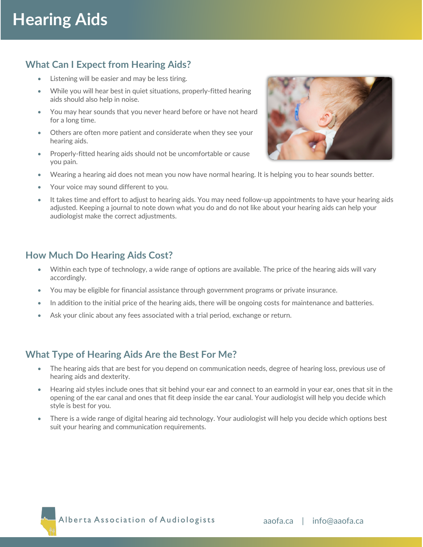## **What Can I Expect from Hearing Aids?**

- Listening will be easier and may be less tiring.
- While you will hear best in quiet situations, properly-fitted hearing aids should also help in noise.
- You may hear sounds that you never heard before or have not heard for a long time.
- Others are often more patient and considerate when they see your hearing aids.
- Properly-fitted hearing aids should not be uncomfortable or cause you pain.
- Wearing a hearing aid does not mean you now have normal hearing. It is helping you to hear sounds better.
- Your voice may sound different to you.
- It takes time and effort to adjust to hearing aids. You may need follow-up appointments to have your hearing aids adjusted. Keeping a journal to note down what you do and do not like about your hearing aids can help your audiologist make the correct adjustments.

#### **How Much Do Hearing Aids Cost?**

- Within each type of technology, a wide range of options are available. The price of the hearing aids will vary accordingly.
- You may be eligible for financial assistance through government programs or private insurance.
- In addition to the initial price of the hearing aids, there will be ongoing costs for maintenance and batteries.
- Ask your clinic about any fees associated with a trial period, exchange or return.

### **What Type of Hearing Aids Are the Best For Me?**

- The hearing aids that are best for you depend on communication needs, degree of hearing loss, previous use of hearing aids and dexterity.
- Hearing aid styles include ones that sit behind your ear and connect to an earmold in your ear, ones that sit in the opening of the ear canal and ones that fit deep inside the ear canal. Your audiologist will help you decide which style is best for you.
- There is a wide range of digital hearing aid technology. Your audiologist will help you decide which options best suit your hearing and communication requirements.



Alberta Association of Audiologists